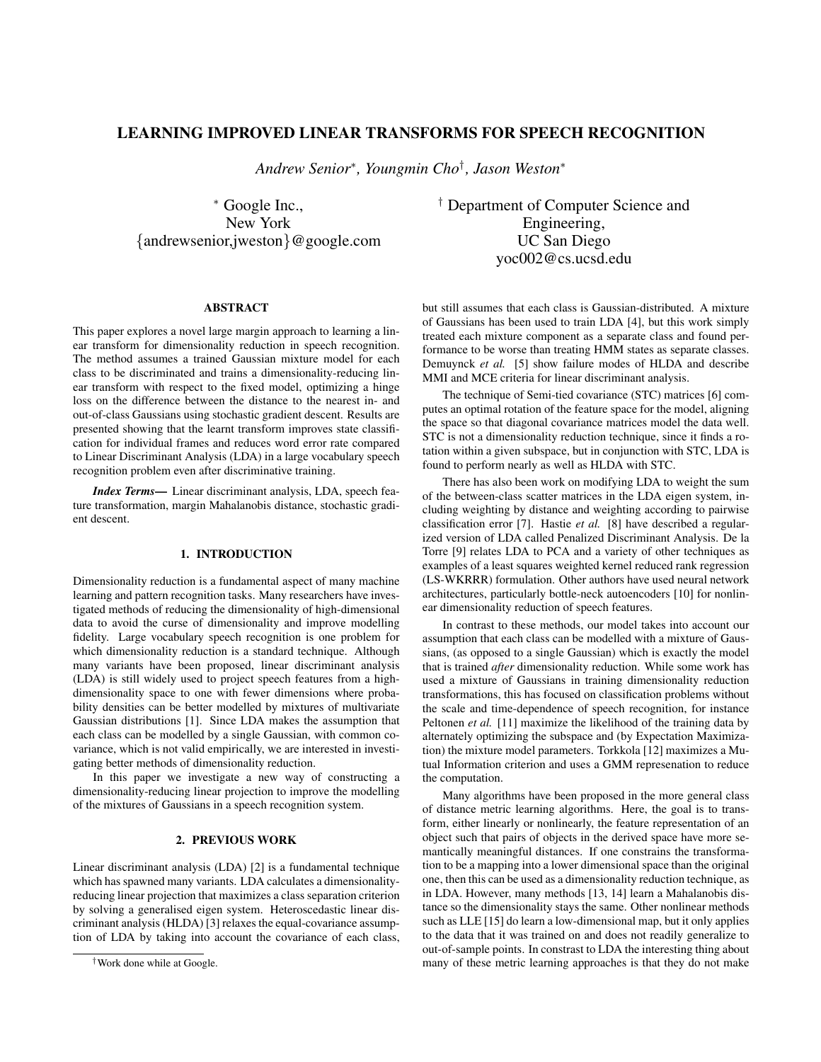# LEARNING IMPROVED LINEAR TRANSFORMS FOR SPEECH RECOGNITION

*Andrew Senior*<sup>∗</sup> *, Youngmin Cho*† *, Jason Weston*<sup>∗</sup>

<sup>∗</sup> Google Inc., New York {andrewsenior,jweston}@google.com

ABSTRACT

This paper explores a novel large margin approach to learning a linear transform for dimensionality reduction in speech recognition. The method assumes a trained Gaussian mixture model for each class to be discriminated and trains a dimensionality-reducing linear transform with respect to the fixed model, optimizing a hinge loss on the difference between the distance to the nearest in- and out-of-class Gaussians using stochastic gradient descent. Results are presented showing that the learnt transform improves state classification for individual frames and reduces word error rate compared to Linear Discriminant Analysis (LDA) in a large vocabulary speech recognition problem even after discriminative training.

*Index Terms*— Linear discriminant analysis, LDA, speech feature transformation, margin Mahalanobis distance, stochastic gradient descent.

# 1. INTRODUCTION

Dimensionality reduction is a fundamental aspect of many machine learning and pattern recognition tasks. Many researchers have investigated methods of reducing the dimensionality of high-dimensional data to avoid the curse of dimensionality and improve modelling fidelity. Large vocabulary speech recognition is one problem for which dimensionality reduction is a standard technique. Although many variants have been proposed, linear discriminant analysis (LDA) is still widely used to project speech features from a highdimensionality space to one with fewer dimensions where probability densities can be better modelled by mixtures of multivariate Gaussian distributions [1]. Since LDA makes the assumption that each class can be modelled by a single Gaussian, with common covariance, which is not valid empirically, we are interested in investigating better methods of dimensionality reduction.

In this paper we investigate a new way of constructing a dimensionality-reducing linear projection to improve the modelling of the mixtures of Gaussians in a speech recognition system.

# 2. PREVIOUS WORK

Linear discriminant analysis (LDA) [2] is a fundamental technique which has spawned many variants. LDA calculates a dimensionalityreducing linear projection that maximizes a class separation criterion by solving a generalised eigen system. Heteroscedastic linear discriminant analysis (HLDA) [3] relaxes the equal-covariance assumption of LDA by taking into account the covariance of each class,

† Department of Computer Science and Engineering, UC San Diego yoc002@cs.ucsd.edu

but still assumes that each class is Gaussian-distributed. A mixture of Gaussians has been used to train LDA [4], but this work simply treated each mixture component as a separate class and found performance to be worse than treating HMM states as separate classes. Demuynck *et al.* [5] show failure modes of HLDA and describe MMI and MCE criteria for linear discriminant analysis.

The technique of Semi-tied covariance (STC) matrices [6] computes an optimal rotation of the feature space for the model, aligning the space so that diagonal covariance matrices model the data well. STC is not a dimensionality reduction technique, since it finds a rotation within a given subspace, but in conjunction with STC, LDA is found to perform nearly as well as HLDA with STC.

There has also been work on modifying LDA to weight the sum of the between-class scatter matrices in the LDA eigen system, including weighting by distance and weighting according to pairwise classification error [7]. Hastie *et al.* [8] have described a regularized version of LDA called Penalized Discriminant Analysis. De la Torre [9] relates LDA to PCA and a variety of other techniques as examples of a least squares weighted kernel reduced rank regression (LS-WKRRR) formulation. Other authors have used neural network architectures, particularly bottle-neck autoencoders [10] for nonlinear dimensionality reduction of speech features.

In contrast to these methods, our model takes into account our assumption that each class can be modelled with a mixture of Gaussians, (as opposed to a single Gaussian) which is exactly the model that is trained *after* dimensionality reduction. While some work has used a mixture of Gaussians in training dimensionality reduction transformations, this has focused on classification problems without the scale and time-dependence of speech recognition, for instance Peltonen *et al.* [11] maximize the likelihood of the training data by alternately optimizing the subspace and (by Expectation Maximization) the mixture model parameters. Torkkola [12] maximizes a Mutual Information criterion and uses a GMM represenation to reduce the computation.

Many algorithms have been proposed in the more general class of distance metric learning algorithms. Here, the goal is to transform, either linearly or nonlinearly, the feature representation of an object such that pairs of objects in the derived space have more semantically meaningful distances. If one constrains the transformation to be a mapping into a lower dimensional space than the original one, then this can be used as a dimensionality reduction technique, as in LDA. However, many methods [13, 14] learn a Mahalanobis distance so the dimensionality stays the same. Other nonlinear methods such as LLE [15] do learn a low-dimensional map, but it only applies to the data that it was trained on and does not readily generalize to out-of-sample points. In constrast to LDA the interesting thing about many of these metric learning approaches is that they do not make

<sup>†</sup>Work done while at Google.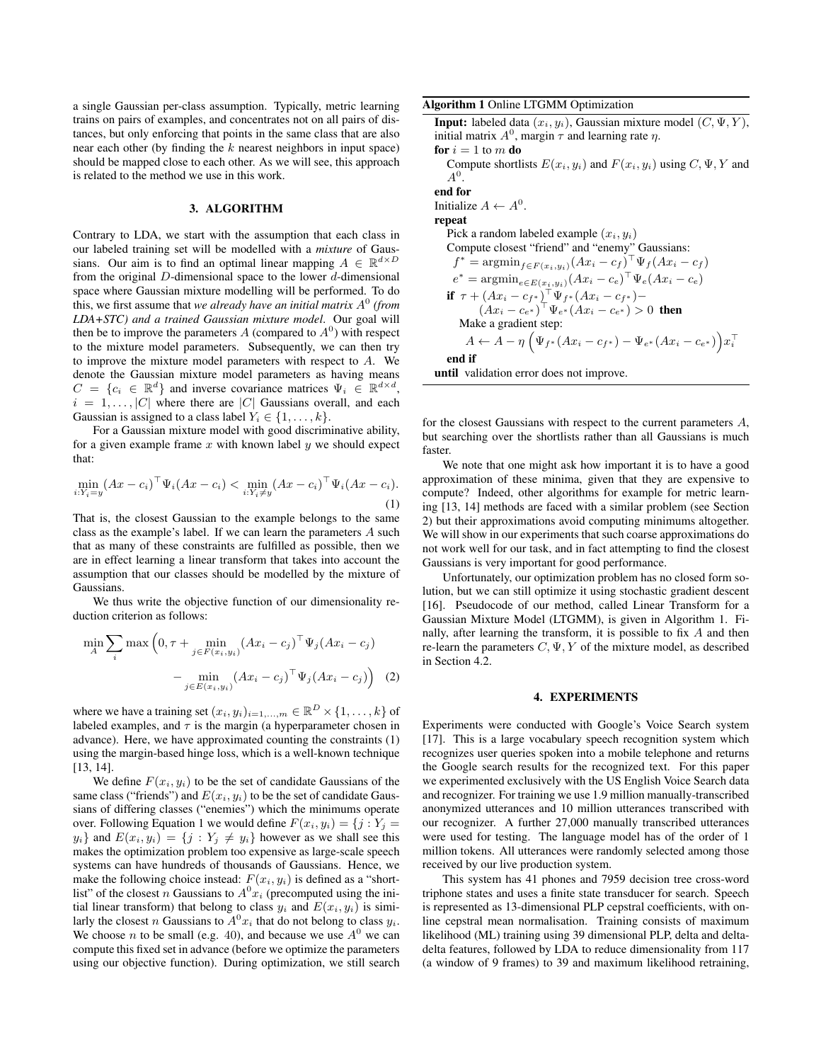a single Gaussian per-class assumption. Typically, metric learning trains on pairs of examples, and concentrates not on all pairs of distances, but only enforcing that points in the same class that are also near each other (by finding the  $k$  nearest neighbors in input space) should be mapped close to each other. As we will see, this approach is related to the method we use in this work.

#### 3. ALGORITHM

Contrary to LDA, we start with the assumption that each class in our labeled training set will be modelled with a *mixture* of Gaussians. Our aim is to find an optimal linear mapping  $A \in \mathbb{R}^{d \times D}$ from the original  $D$ -dimensional space to the lower  $d$ -dimensional space where Gaussian mixture modelling will be performed. To do this, we first assume that *we already have an initial matrix* A 0 *(from LDA+STC) and a trained Gaussian mixture model*. Our goal will then be to improve the parameters A (compared to  $A^0$ ) with respect to the mixture model parameters. Subsequently, we can then try to improve the mixture model parameters with respect to A. We denote the Gaussian mixture model parameters as having means  $C = \{c_i \in \mathbb{R}^d\}$  and inverse covariance matrices  $\Psi_i \in \mathbb{R}^{d \times d}$ ,  $i = 1, \ldots, |C|$  where there are |C| Gaussians overall, and each Gaussian is assigned to a class label  $Y_i \in \{1, \ldots, k\}.$ 

For a Gaussian mixture model with good discriminative ability, for a given example frame x with known label y we should expect that:

$$
\min_{i:Y_i = y} (Ax - c_i)^{\top} \Psi_i (Ax - c_i) < \min_{i:Y_i \neq y} (Ax - c_i)^{\top} \Psi_i (Ax - c_i). \tag{1}
$$

That is, the closest Gaussian to the example belongs to the same class as the example's label. If we can learn the parameters A such that as many of these constraints are fulfilled as possible, then we are in effect learning a linear transform that takes into account the assumption that our classes should be modelled by the mixture of Gaussians.

We thus write the objective function of our dimensionality reduction criterion as follows:

$$
\min_{A} \sum_{i} \max \left(0, \tau + \min_{j \in F(x_i, y_i)} (Ax_i - c_j)^{\top} \Psi_j (Ax_i - c_j) - \min_{j \in E(x_i, y_i)} (Ax_i - c_j)^{\top} \Psi_j (Ax_i - c_j) \right) \tag{2}
$$

where we have a training set  $(x_i, y_i)_{i=1,\dots,m} \in \mathbb{R}^D \times \{1, \dots, k\}$  of labeled examples, and  $\tau$  is the margin (a hyperparameter chosen in advance). Here, we have approximated counting the constraints (1) using the margin-based hinge loss, which is a well-known technique [13, 14].

We define  $F(x_i, y_i)$  to be the set of candidate Gaussians of the same class ("friends") and  $E(x_i, y_i)$  to be the set of candidate Gaussians of differing classes ("enemies") which the minimums operate over. Following Equation 1 we would define  $F(x_i, y_i) = \{j : Y_j =$  $y_i$  and  $E(x_i, y_i) = \{j : Y_j \neq y_i\}$  however as we shall see this makes the optimization problem too expensive as large-scale speech systems can have hundreds of thousands of Gaussians. Hence, we make the following choice instead:  $F(x_i, y_i)$  is defined as a "shortlist" of the closest n Gaussians to  $A^{0}x_i$  (precomputed using the initial linear transform) that belong to class  $y_i$  and  $E(x_i, y_i)$  is similarly the closest *n* Gaussians to  $A^0x_i$  that do not belong to class  $y_i$ . We choose *n* to be small (e.g. 40), and because we use  $A^0$  we can compute this fixed set in advance (before we optimize the parameters using our objective function). During optimization, we still search

Algorithm 1 Online LTGMM Optimization

**Input:** labeled data  $(x_i, y_i)$ , Gaussian mixture model  $(C, \Psi, Y)$ , initial matrix  $A^0$ , margin  $\tau$  and learning rate  $\eta$ . for  $i = 1$  to m do Compute shortlists  $E(x_i, y_i)$  and  $F(x_i, y_i)$  using  $C, \Psi, Y$  and  $A^0$ . end for Initialize  $A \leftarrow A^0$ . repeat Pick a random labeled example  $(x_i, y_i)$ Compute closest "friend" and "enemy" Gaussians:  $f^* = \operatorname{argmin}_{f \in F(x_i, y_i)} (Ax_i - c_f)^\top \Psi_f (Ax_i - c_f)$  $e^* = \operatorname{argmin}_{e \in E(x_i, y_i)} (Ax_i - c_e)^\top \Psi_e (Ax_i - c_e)$ if  $\tau + (Ax_i - c_{f^*})^{\top} \Psi_{f^*} (Ax_i - c_{f^*}) (Ax_i - c_{e^*})^{\top} \Psi_{e^*} (Ax_i - c_{e^*}) > 0$  then Make a gradient step:  $A \leftarrow A - \eta \left( \Psi_{f^*} (Ax_i - c_{f^*}) - \Psi_{e^*} (Ax_i - c_{e^*}) \right) x_i^\top$ end if until validation error does not improve.

for the closest Gaussians with respect to the current parameters A, but searching over the shortlists rather than all Gaussians is much faster.

We note that one might ask how important it is to have a good approximation of these minima, given that they are expensive to compute? Indeed, other algorithms for example for metric learning [13, 14] methods are faced with a similar problem (see Section 2) but their approximations avoid computing minimums altogether. We will show in our experiments that such coarse approximations do not work well for our task, and in fact attempting to find the closest Gaussians is very important for good performance.

Unfortunately, our optimization problem has no closed form solution, but we can still optimize it using stochastic gradient descent [16]. Pseudocode of our method, called Linear Transform for a Gaussian Mixture Model (LTGMM), is given in Algorithm 1. Finally, after learning the transform, it is possible to fix A and then re-learn the parameters  $C, \Psi, Y$  of the mixture model, as described in Section 4.2.

#### 4. EXPERIMENTS

Experiments were conducted with Google's Voice Search system [17]. This is a large vocabulary speech recognition system which recognizes user queries spoken into a mobile telephone and returns the Google search results for the recognized text. For this paper we experimented exclusively with the US English Voice Search data and recognizer. For training we use 1.9 million manually-transcribed anonymized utterances and 10 million utterances transcribed with our recognizer. A further 27,000 manually transcribed utterances were used for testing. The language model has of the order of 1 million tokens. All utterances were randomly selected among those received by our live production system.

This system has 41 phones and 7959 decision tree cross-word triphone states and uses a finite state transducer for search. Speech is represented as 13-dimensional PLP cepstral coefficients, with online cepstral mean normalisation. Training consists of maximum likelihood (ML) training using 39 dimensional PLP, delta and deltadelta features, followed by LDA to reduce dimensionality from 117 (a window of 9 frames) to 39 and maximum likelihood retraining,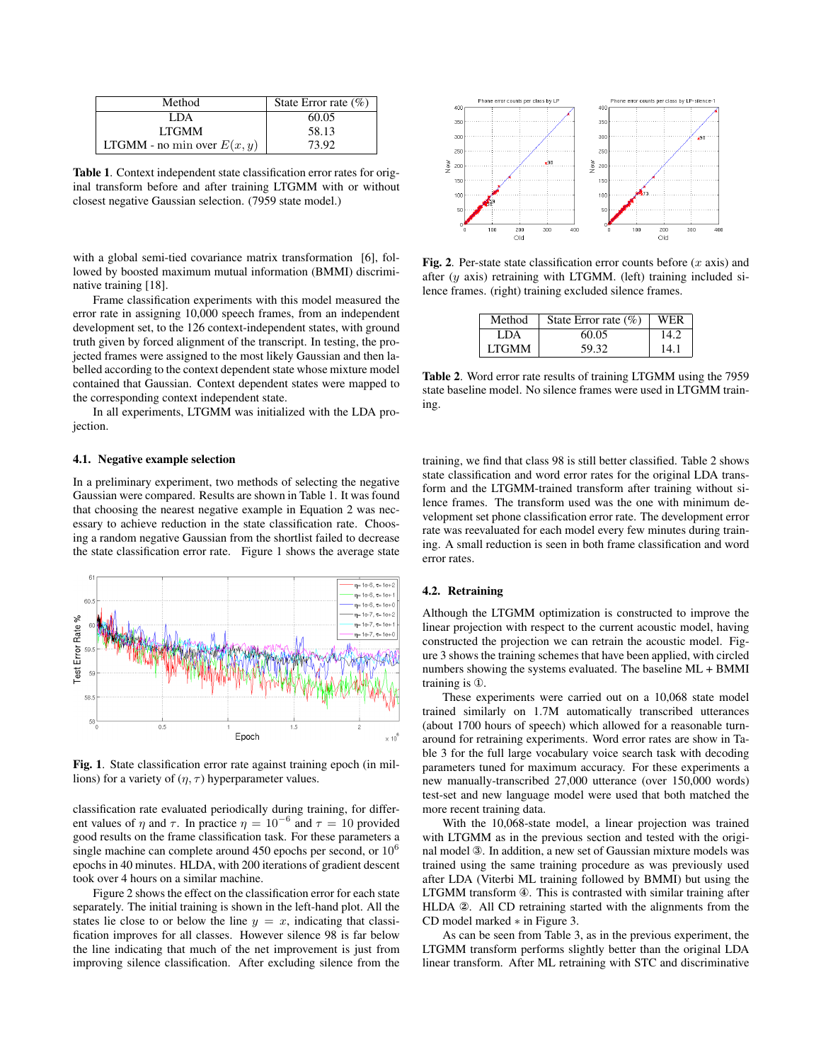| Method                        | State Error rate $(\% )$ |
|-------------------------------|--------------------------|
| LDA.                          | 60.05                    |
| <b>LTGMM</b>                  | 58.13                    |
| LTGMM - no min over $E(x, y)$ | 73.92                    |

Table 1. Context independent state classification error rates for original transform before and after training LTGMM with or without closest negative Gaussian selection. (7959 state model.)

with a global semi-tied covariance matrix transformation [6], followed by boosted maximum mutual information (BMMI) discriminative training [18].

Frame classification experiments with this model measured the error rate in assigning 10,000 speech frames, from an independent development set, to the 126 context-independent states, with ground truth given by forced alignment of the transcript. In testing, the projected frames were assigned to the most likely Gaussian and then labelled according to the context dependent state whose mixture model contained that Gaussian. Context dependent states were mapped to the corresponding context independent state.

In all experiments, LTGMM was initialized with the LDA projection.

## 4.1. Negative example selection

In a preliminary experiment, two methods of selecting the negative Gaussian were compared. Results are shown in Table 1. It was found that choosing the nearest negative example in Equation 2 was necessary to achieve reduction in the state classification rate. Choosing a random negative Gaussian from the shortlist failed to decrease the state classification error rate. Figure 1 shows the average state



Fig. 1. State classification error rate against training epoch (in millions) for a variety of  $(\eta, \tau)$  hyperparameter values.

classification rate evaluated periodically during training, for different values of  $\eta$  and  $\tau$ . In practice  $\eta = 10^{-6}$  and  $\tau = 10$  provided good results on the frame classification task. For these parameters a single machine can complete around  $450$  epochs per second, or  $10<sup>6</sup>$ epochs in 40 minutes. HLDA, with 200 iterations of gradient descent took over 4 hours on a similar machine.

Figure 2 shows the effect on the classification error for each state separately. The initial training is shown in the left-hand plot. All the states lie close to or below the line  $y = x$ , indicating that classification improves for all classes. However silence 98 is far below the line indicating that much of the net improvement is just from improving silence classification. After excluding silence from the



Fig. 2. Per-state state classification error counts before  $(x \text{ axis})$  and after  $(y \text{ axis})$  retraining with LTGMM. (left) training included silence frames. (right) training excluded silence frames.

| Method       | State Error rate $(\% )$ | WER  |
|--------------|--------------------------|------|
| I DA         | 60.05                    | 14.2 |
| <b>LTGMM</b> | 59.32                    | 14.1 |

Table 2. Word error rate results of training LTGMM using the 7959 state baseline model. No silence frames were used in LTGMM training.

training, we find that class 98 is still better classified. Table 2 shows state classification and word error rates for the original LDA transform and the LTGMM-trained transform after training without silence frames. The transform used was the one with minimum development set phone classification error rate. The development error rate was reevaluated for each model every few minutes during training. A small reduction is seen in both frame classification and word error rates.

# 4.2. Retraining

Although the LTGMM optimization is constructed to improve the linear projection with respect to the current acoustic model, having constructed the projection we can retrain the acoustic model. Figure 3 shows the training schemes that have been applied, with circled numbers showing the systems evaluated. The baseline ML + BMMI training is ①.

These experiments were carried out on a 10,068 state model trained similarly on 1.7M automatically transcribed utterances (about 1700 hours of speech) which allowed for a reasonable turnaround for retraining experiments. Word error rates are show in Table 3 for the full large vocabulary voice search task with decoding parameters tuned for maximum accuracy. For these experiments a new manually-transcribed 27,000 utterance (over 150,000 words) test-set and new language model were used that both matched the more recent training data.

With the 10,068-state model, a linear projection was trained with LTGMM as in the previous section and tested with the original model ③. In addition, a new set of Gaussian mixture models was trained using the same training procedure as was previously used after LDA (Viterbi ML training followed by BMMI) but using the LTGMM transform ④. This is contrasted with similar training after HLDA ②. All CD retraining started with the alignments from the CD model marked ∗ in Figure 3.

As can be seen from Table 3, as in the previous experiment, the LTGMM transform performs slightly better than the original LDA linear transform. After ML retraining with STC and discriminative